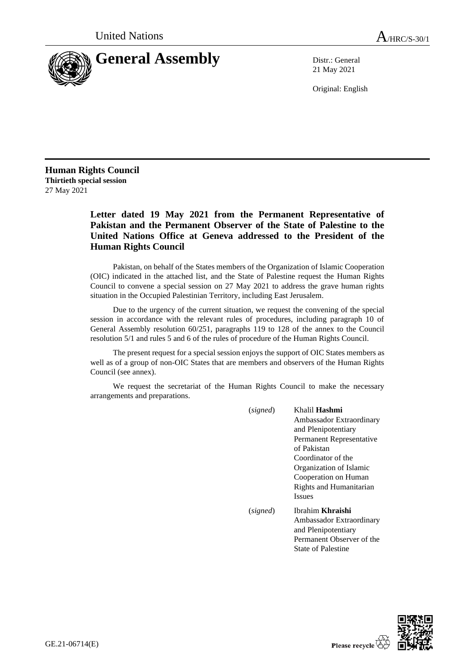

21 May 2021

Original: English

**Human Rights Council Thirtieth special session** 27 May 2021

## **Letter dated 19 May 2021 from the Permanent Representative of Pakistan and the Permanent Observer of the State of Palestine to the United Nations Office at Geneva addressed to the President of the Human Rights Council**

Pakistan, on behalf of the States members of the Organization of Islamic Cooperation (OIC) indicated in the attached list, and the State of Palestine request the Human Rights Council to convene a special session on 27 May 2021 to address the grave human rights situation in the Occupied Palestinian Territory, including East Jerusalem.

Due to the urgency of the current situation, we request the convening of the special session in accordance with the relevant rules of procedures, including paragraph 10 of General Assembly resolution 60/251, paragraphs 119 to 128 of the annex to the Council resolution 5/1 and rules 5 and 6 of the rules of procedure of the Human Rights Council.

The present request for a special session enjoys the support of OIC States members as well as of a group of non-OIC States that are members and observers of the Human Rights Council (see annex).

We request the secretariat of the Human Rights Council to make the necessary arrangements and preparations.

| (signed) | Khalil <b>Hashmi</b><br>Ambassador Extraordinary<br>and Plenipotentiary<br>Permanent Representative<br>of Pakistan<br>Coordinator of the<br>Organization of Islamic<br>Cooperation on Human<br><b>Rights and Humanitarian</b><br><b>Issues</b> |
|----------|------------------------------------------------------------------------------------------------------------------------------------------------------------------------------------------------------------------------------------------------|
| (signed) | Ibrahim <b>Khraishi</b><br>Ambassador Extraordinary<br>and Plenipotentiary<br>Permanent Observer of the<br><b>State of Palestine</b>                                                                                                           |